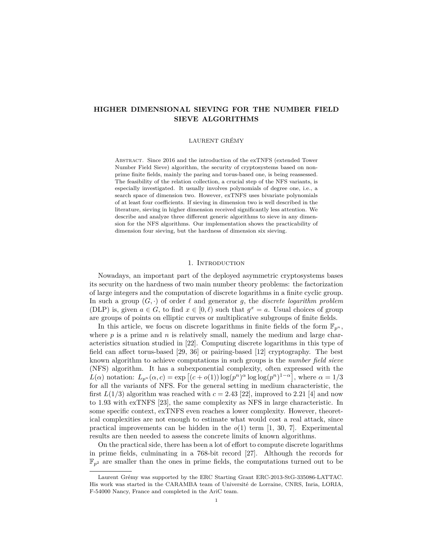# **HIGHER DIMENSIONAL SIEVING FOR THE NUMBER FIELD SIEVE ALGORITHMS**

### LAURENT GRÉMY

Abstract. Since 2016 and the introduction of the exTNFS (extended Tower Number Field Sieve) algorithm, the security of cryptosystems based on nonprime finite fields, mainly the paring and torus-based one, is being reassessed. The feasibility of the relation collection, a crucial step of the NFS variants, is especially investigated. It usually involves polynomials of degree one, i.e., a search space of dimension two. However, exTNFS uses bivariate polynomials of at least four coefficients. If sieving in dimension two is well described in the literature, sieving in higher dimension received significantly less attention. We describe and analyze three different generic algorithms to sieve in any dimension for the NFS algorithms. Our implementation shows the practicability of dimension four sieving, but the hardness of dimension six sieving.

### 1. INTRODUCTION

Nowadays, an important part of the deployed asymmetric cryptosystems bases its security on the hardness of two main number theory problems: the factorization of large integers and the computation of discrete logarithms in a finite cyclic group. In such a group  $(G, \cdot)$  of order  $\ell$  and generator g, the *discrete logarithm problem* (DLP) is, given  $a \in G$ , to find  $x \in [0, \ell)$  such that  $g^x = a$ . Usual choices of group are groups of points on elliptic curves or multiplicative subgroups of finite fields.

In this article, we focus on discrete logarithms in finite fields of the form  $\mathbb{F}_{p^n}$ , where  $p$  is a prime and  $n$  is relatively small, namely the medium and large characteristics situation studied in [\[22\]](#page-14-0). Computing discrete logarithms in this type of field can affect torus-based [\[29,](#page-14-1) [36\]](#page-14-2) or pairing-based [\[12\]](#page-13-0) cryptography. The best known algorithm to achieve computations in such groups is the *number field sieve* (NFS) algorithm. It has a subexponential complexity, often expressed with the  $L(\alpha)$  notation:  $L_{p^n}(\alpha, c) = \exp\left[(c + o(1))\log(p^n)^{\alpha}\log\log(p^n)^{1-\alpha}\right]$ , where  $\alpha = 1/3$ for all the variants of NFS. For the general setting in medium characteristic, the first  $L(1/3)$  algorithm was reached with  $c = 2.43$  [\[22\]](#page-14-0), improved to 2.21 [\[4\]](#page-13-1) and now to 1*.*93 with exTNFS [\[23\]](#page-14-3), the same complexity as NFS in large characteristic. In some specific context, exTNFS even reaches a lower complexity. However, theoretical complexities are not enough to estimate what would cost a real attack, since practical improvements can be hidden in the *o*(1) term [\[1,](#page-13-2) [30,](#page-14-4) [7\]](#page-13-3). Experimental results are then needed to assess the concrete limits of known algorithms.

On the practical side, there has been a lot of effort to compute discrete logarithms in prime fields, culminating in a 768-bit record [\[27\]](#page-14-5). Although the records for  $\mathbb{F}_{p^2}$  are smaller than the ones in prime fields, the computations turned out to be

Laurent Grémy was supported by the ERC Starting Grant ERC-2013-StG-335086-LATTAC. His work was started in the CARAMBA team of Université de Lorraine, CNRS, Inria, LORIA, F-54000 Nancy, France and completed in the AriC team.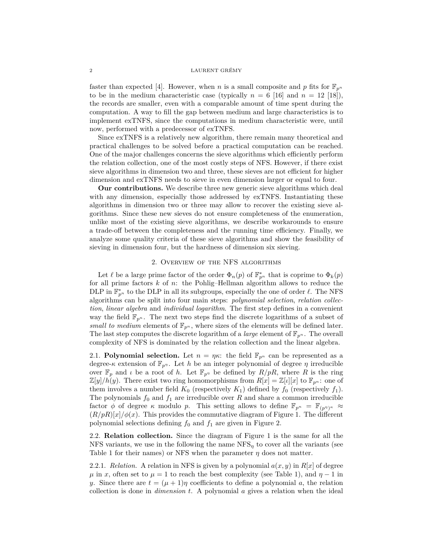faster than expected [\[4\]](#page-13-1). However, when *n* is a small composite and *p* fits for  $\mathbb{F}_{p^n}$ to be in the medium characteristic case (typically  $n = 6$  [\[16\]](#page-14-6) and  $n = 12$  [\[18\]](#page-14-7)), the records are smaller, even with a comparable amount of time spent during the computation. A way to fill the gap between medium and large characteristics is to implement exTNFS, since the computations in medium characteristic were, until now, performed with a predecessor of exTNFS.

Since exTNFS is a relatively new algorithm, there remain many theoretical and practical challenges to be solved before a practical computation can be reached. One of the major challenges concerns the sieve algorithms which efficiently perform the relation collection, one of the most costly steps of NFS. However, if there exist sieve algorithms in dimension two and three, these sieves are not efficient for higher dimension and exTNFS needs to sieve in even dimension larger or equal to four.

**Our contributions.** We describe three new generic sieve algorithms which deal with any dimension, especially those addressed by exTNFS. Instantiating these algorithms in dimension two or three may allow to recover the existing sieve algorithms. Since these new sieves do not ensure completeness of the enumeration, unlike most of the existing sieve algorithms, we describe workarounds to ensure a trade-off between the completeness and the running time efficiency. Finally, we analyze some quality criteria of these sieve algorithms and show the feasibility of sieving in dimension four, but the hardness of dimension six sieving.

### 2. Overview of the NFS algorithms

Let  $\ell$  be a large prime factor of the order  $\Phi_n(p)$  of  $\mathbb{F}_{p^n}^*$  that is coprime to  $\Phi_k(p)$ for all prime factors *k* of *n*: the Pohlig–Hellman algorithm allows to reduce the DLP in  $\mathbb{F}_{p^n}^*$  to the DLP in all its subgroups, especially the one of order  $\ell$ . The NFS algorithms can be split into four main steps: *polynomial selection*, *relation collection*, *linear algebra* and *individual logarithm*. The first step defines in a convenient way the field  $\mathbb{F}_{p^n}$ . The next two steps find the discrete logarithms of a subset of *small to medium* elements of  $\mathbb{F}_{p^n}$ , where sizes of the elements will be defined later. The last step computes the discrete logarithm of a *large* element of  $\mathbb{F}_{p^n}$ . The overall complexity of NFS is dominated by the relation collection and the linear algebra.

2.1. **Polynomial selection.** Let  $n = \eta \kappa$ : the field  $\mathbb{F}_{p^n}$  can be represented as a degree- $\kappa$  extension of  $\mathbb{F}_{p^n}$ . Let *h* be an integer polynomial of degree *η* irreducible over  $\mathbb{F}_p$  and *ι* be a root of *h*. Let  $\mathbb{F}_{p^{\eta}}$  be defined by  $R/pR$ , where *R* is the ring  $\mathbb{Z}[y]/h(y)$ . There exist two ring homomorphisms from  $R[x] = \mathbb{Z}[t][x]$  to  $\mathbb{F}_{p^n}$ : one of them involves a number field  $K_0$  (respectively  $K_1$ ) defined by  $f_0$  (respectively  $f_1$ ). The polynomials  $f_0$  and  $f_1$  are irreducible over  $R$  and share a common irreducible factor  $\phi$  of degree  $\kappa$  modulo  $p$ . This setting allows to define  $\mathbb{F}_{p^n} = \mathbb{F}_{(p^n)^{\kappa}} \approx$  $(R/pR)[x]/\phi(x)$ . This provides the commutative diagram of Figure [1.](#page-2-0) The different polynomial selections defining  $f_0$  and  $f_1$  are given in Figure [2.](#page-2-1)

2.2. **Relation collection.** Since the diagram of Figure [1](#page-2-0) is the same for all the NFS variants, we use in the following the name  $NFS_n$  to cover all the variants (see Table [1](#page-2-2) for their names) or NFS when the parameter  $\eta$  does not matter.

2.2.1. *Relation.* A relation in NFS is given by a polynomial  $a(x, y)$  in  $R[x]$  of degree  $\mu$  in *x*, often set to  $\mu = 1$  to reach the best complexity (see Table [1\)](#page-2-2), and  $\eta - 1$  in *y*. Since there are  $t = (\mu + 1)\eta$  coefficients to define a polynomial *a*, the relation collection is done in *dimension t*. A polynomial *a* gives a relation when the ideal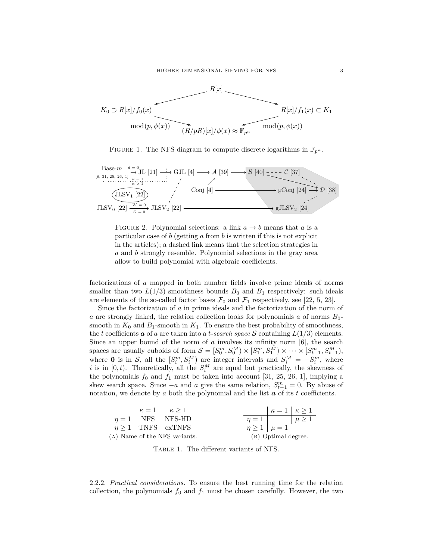<span id="page-2-0"></span>

FIGURE 1. The NFS diagram to compute discrete logarithms in  $\mathbb{F}_{p^n}$ .

<span id="page-2-1"></span>Base-m 
$$
d = 0
$$
  
\n[8, 31, 25, 26, 1]  $\rightarrow$  GJL [4]  $\rightarrow \rightarrow$  A [39]  $\rightarrow$  B [40]  $\rightarrow$  C [37]  
\n $\xrightarrow{\kappa}$  E<sub>1</sub>  
\n $\xrightarrow{\kappa}$  [21]  $\xrightarrow{\kappa}$  GJL [4]  $\rightarrow$  A [39]  $\rightarrow$  B [40]  $\xrightarrow{\kappa}$  C [37]  
\n $\xrightarrow{\kappa}$  gConj [24]  $\rightarrow$  D [38]  
\nJLSV<sub>0</sub> [22]  $\xrightarrow{W = 0}$  JLSV<sub>2</sub> [22]



factorizations of *a* mapped in both number fields involve prime ideals of norms smaller than two  $L(1/3)$  smoothness bounds  $B_0$  and  $B_1$  respectively: such ideals are elements of the so-called factor bases  $\mathcal{F}_0$  and  $\mathcal{F}_1$  respectively, see [\[22,](#page-14-0) [5,](#page-13-5) [23\]](#page-14-3).

Since the factorization of *a* in prime ideals and the factorization of the norm of *a* are strongly linked, the relation collection looks for polynomials *a* of norms *B*0 smooth in  $K_0$  and  $B_1$ -smooth in  $K_1$ . To ensure the best probability of smoothness, the *t* coefficients  $\boldsymbol{a}$  of  $\boldsymbol{a}$  are taken into a *t-search space*  $\boldsymbol{S}$  containing  $L(1/3)$  elements. Since an upper bound of the norm of *a* involves its infinity norm [\[6\]](#page-13-6), the search spaces are usually cuboids of form  $S = [S_0^m, S_0^M] \times [S_1^m, S_1^M] \times \cdots \times [S_{t-1}^m, S_{t-1}^M]$ , where **0** is in S, all the  $[S_i^m, S_i^M]$  are integer intervals and  $S_i^M = -S_i^m$ , where *i* is in  $[0, t)$ . Theoretically, all the  $S_i^M$  are equal but practically, the skewness of the polynomials  $f_0$  and  $f_1$  must be taken into account [\[31,](#page-14-8) [25,](#page-14-9) [26,](#page-14-10) [1\]](#page-13-2), implying a skew search space. Since  $-a$  and *a* give the same relation,  $S_{t-1}^m = 0$ . By abuse of notation, we denote by  $a$  both the polynomial and the list  $a$  of its  $t$  coefficients.

<span id="page-2-2"></span>

|  | $\kappa = 1$ $\kappa > 1$         |                            | $\kappa = 1$ $\kappa > 1$ |           |
|--|-----------------------------------|----------------------------|---------------------------|-----------|
|  | $\eta = 1$ NFS NFS-HD             | $n=1$                      |                           | $\mu > 1$ |
|  | $\eta \geq 1$ TNFS $\vert$ exTNFS | $\eta \geq 1 \mid \mu = 1$ |                           |           |
|  | (A) Name of the NFS variants.     |                            | (B) Optimal degree.       |           |

Table 1. The different variants of NFS.

2.2.2. *Practical considerations.* To ensure the best running time for the relation collection, the polynomials  $f_0$  and  $f_1$  must be chosen carefully. However, the two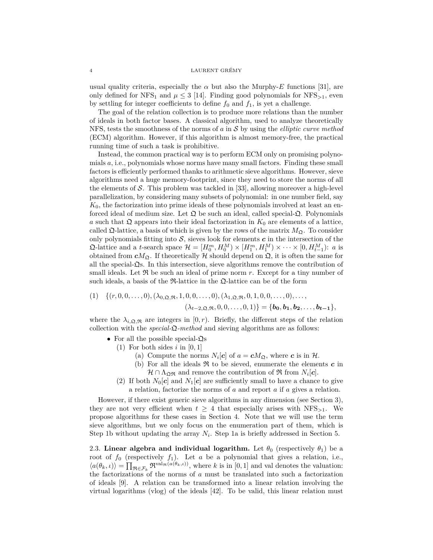usual quality criteria, especially the  $\alpha$  but also the Murphy-*E* functions [\[31\]](#page-14-8), are only defined for NFS<sub>1</sub> and  $\mu \leq 3$  [\[14\]](#page-14-13). Finding good polynomials for NFS<sub>>1</sub>, even by settling for integer coefficients to define  $f_0$  and  $f_1$ , is yet a challenge.

The goal of the relation collection is to produce more relations than the number of ideals in both factor bases. A classical algorithm, used to analyze theoretically NFS, tests the smoothness of the norms of *a* in S by using the *elliptic curve method* (ECM) algorithm. However, if this algorithm is almost memory-free, the practical running time of such a task is prohibitive.

Instead, the common practical way is to perform ECM only on promising polynomials *a*, i.e., polynomials whose norms have many small factors. Finding these small factors is efficiently performed thanks to arithmetic sieve algorithms. However, sieve algorithms need a huge memory-footprint, since they need to store the norms of all the elements of  $\mathcal S$ . This problem was tackled in [\[33\]](#page-14-14), allowing moreover a high-level parallelization, by considering many subsets of polynomial: in one number field, say *K*0, the factorization into prime ideals of these polynomials involved at least an enforced ideal of medium size. Let  $\mathfrak Q$  be such an ideal, called special- $\mathfrak Q$ . Polynomials *a* such that  $\Omega$  appears into their ideal factorization in  $K_0$  are elements of a lattice, called  $\Omega$ -lattice, a basis of which is given by the rows of the matrix  $M_{\Omega}$ . To consider only polynomials fitting into  $S$ , sieves look for elements  $c$  in the intersection of the  $\mathfrak{Q}$ -lattice and a *t*-search space  $\mathcal{H} = [H_0^m, H_0^M] \times [H_1^m, H_1^M] \times \cdots \times [0, H_{t-1}^M]$ : *a* is obtained from  $cM_{\mathfrak{Q}}$ . If theoretically  $\mathcal H$  should depend on  $\mathfrak{Q}$ , it is often the same for all the special- $\mathfrak{Q}_s$ . In this intersection, sieve algorithms remove the contribution of small ideals. Let  $\Re$  be such an ideal of prime norm  $r$ . Except for a tiny number of such ideals, a basis of the  $\mathfrak{R}\text{-lattice}$  in the  $\mathfrak{Q}\text{-lattice}$  can be of the form

<span id="page-3-2"></span>
$$
(1) \quad \{(r, 0, 0, \ldots, 0), (\lambda_{0, \mathfrak{Q}, \mathfrak{R}}, 1, 0, 0, \ldots, 0), (\lambda_{1, \mathfrak{Q}, \mathfrak{R}}, 0, 1, 0, 0, \ldots, 0), \ldots, (\lambda_{t-2, \mathfrak{Q}, \mathfrak{R}}, 0, 0, \ldots, 0, 1)\} = \{\mathbf{b_0}, \mathbf{b_1}, \mathbf{b_2}, \ldots, \mathbf{b_{t-1}}\},\
$$

where the  $\lambda_{i,\Omega,\Re}$  are integers in [0, *r*). Briefly, the different steps of the relation collection with the *special-*Q*-method* and sieving algorithms are as follows:

- <span id="page-3-1"></span><span id="page-3-0"></span>• For all the possible special- $\mathfrak{Q}_s$ 
	- (1) For both sides *i* in [0*,* 1]
		- (a) Compute the norms  $N_i[c]$  of  $a = cM_{\mathfrak{Q}}$ , where *c* is in  $\mathcal{H}$ .
		- (b) For all the ideals  $\Re$  to be sieved, enumerate the elements  $c$  in  $\mathcal{H} \cap \Lambda_{\mathfrak{Q}\mathfrak{R}}$  and remove the contribution of  $\mathfrak{R}$  from  $N_i[c]$ .
	- (2) If both  $N_0[c]$  and  $N_1[c]$  are sufficiently small to have a chance to give a relation, factorize the norms of *a* and report *a* if *a* gives a relation.

However, if there exist generic sieve algorithms in any dimension (see Section [3\)](#page-4-0), they are not very efficient when  $t \geq 4$  that especially arises with NFS<sub>>1</sub>. We propose algorithms for these cases in Section [4.](#page-6-0) Note that we will use the term sieve algorithms, but we only focus on the enumeration part of them, which is Step [1b](#page-3-0) without updating the array  $N_i$ . Step [1a](#page-3-1) is briefly addressed in Section [5.](#page-10-0)

2.3. **Linear algebra and individual logarithm.** Let  $\theta_0$  (respectively  $\theta_1$ ) be a root of  $f_0$  (respectively  $f_1$ ). Let  $a$  be a polynomial that gives a relation, i.e.,  $\langle a(\theta_k, \iota) \rangle = \prod_{\Re \in \mathcal{F}_k} \Re^{\text{val}_{\Re}(a(\theta_k, \iota))}$ , where *k* is in [0, 1] and val denotes the valuation: the factorizations of the norms of *a* must be translated into such a factorization of ideals [\[9\]](#page-13-7). A relation can be transformed into a linear relation involving the virtual logarithms (vlog) of the ideals [\[42\]](#page-15-4). To be valid, this linear relation must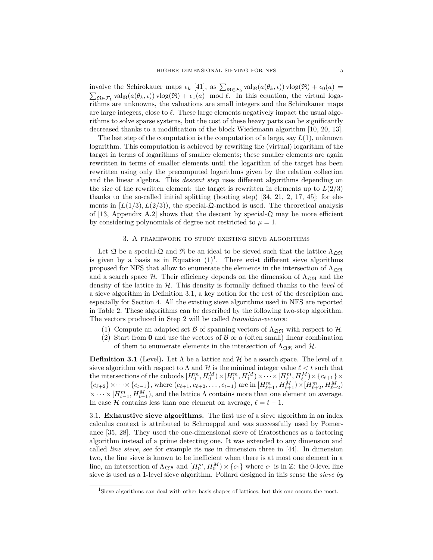involve the Schirokauer maps  $\epsilon_k$  [\[41\]](#page-15-5), as  $\sum_{\Re \in \mathcal{F}_0} \text{val}_{\Re}(a(\theta_k, \iota)) \text{vlog}(\Re) + \epsilon_0(a) =$ mvoive the semionater maps  $\epsilon_k$  [+1], as  $\sum_{\Re \in \mathcal{F}_0} \text{var}_\mathcal{R}(u(v_k, v))$  vlog( $\Im v$ )  $+ \epsilon_0(u)$  =  $\sum_{\Re \in \mathcal{F}_1} \text{val}_{\Re}(a(\theta_k, v))$  vlog( $\Re$ ) +  $\epsilon_1(a)$  mod  $\ell$ . In this equation, the virtual logarithms are unknowns, the valuations are small integers and the Schirokauer maps are large integers, close to  $\ell$ . These large elements negatively impact the usual algorithms to solve sparse systems, but the cost of these heavy parts can be significantly decreased thanks to a modification of the block Wiedemann algorithm [\[10,](#page-13-8) [20,](#page-14-15) [13\]](#page-14-16).

The last step of the computation is the computation of a large, say *L*(1), unknown logarithm. This computation is achieved by rewriting the (virtual) logarithm of the target in terms of logarithms of smaller elements; these smaller elements are again rewritten in terms of smaller elements until the logarithm of the target has been rewritten using only the precomputed logarithms given by the relation collection and the linear algebra. This *descent step* uses different algorithms depending on the size of the rewritten element: the target is rewritten in elements up to  $L(2/3)$ thanks to the so-called initial splitting (booting step)  $[34, 21, 2, 17, 45]$  $[34, 21, 2, 17, 45]$  $[34, 21, 2, 17, 45]$  $[34, 21, 2, 17, 45]$  $[34, 21, 2, 17, 45]$ ; for elements in  $[L(1/3), L(2/3)]$ , the special- $\mathfrak{Q}$ -method is used. The theoretical analysis of [\[13,](#page-14-16) Appendix A.2] shows that the descent by special- $\mathfrak{Q}$  may be more efficient by considering polynomials of degree not restricted to  $\mu = 1$ .

## 3. A framework to study existing sieve algorithms

<span id="page-4-0"></span>Let  $\mathfrak Q$  be a special- $\mathfrak Q$  and  $\mathfrak R$  be an ideal to be sieved such that the lattice  $\Lambda_{\Omega\mathfrak R}$ is given by a basis as in Equation  $(1)^1$  $(1)^1$  $(1)^1$ . There exist different sieve algorithms proposed for NFS that allow to enumerate the elements in the intersection of  $\Lambda_{\text{OR}}$ and a search space H. Their efficiency depends on the dimension of  $\Lambda_{\mathfrak{OB}}$  and the density of the lattice in H. This density is formally defined thanks to the *level* of a sieve algorithm in Definition [3.1,](#page-4-2) a key notion for the rest of the description and especially for Section [4.](#page-6-0) All the existing sieve algorithms used in NFS are reported in Table [2.](#page-5-0) These algorithms can be described by the following two-step algorithm. The vectors produced in Step [2](#page-4-3) will be called *transition-vectors*:

- (1) Compute an adapted set  $\beta$  of spanning vectors of  $\Lambda_{\mathfrak{Q}\mathfrak{R}}$  with respect to  $\mathcal{H}$ .
- <span id="page-4-3"></span>(2) Start from  $\mathbf{0}$  and use the vectors of  $\mathcal{B}$  or a (often small) linear combination of them to enumerate elements in the intersection of  $\Lambda_{\mathfrak{D}\mathfrak{R}}$  and  $\mathcal{H}$ .

<span id="page-4-2"></span>**Definition 3.1** (Level). Let  $\Lambda$  be a lattice and  $\mathcal{H}$  be a search space. The level of a sieve algorithm with respect to  $\Lambda$  and  $\mathcal H$  is the minimal integer value  $\ell < t$  such that the intersections of the cuboids  $[H_0^m, H_0^M] \times [H_1^m, H_1^M] \times \cdots \times [H_{\ell}^m, H_{\ell}^M] \times \{c_{\ell+1}\} \times$  ${c_{\ell+2}} \times \cdots \times {c_{t-1}}$ , where  $(c_{\ell+1}, c_{\ell+2}, \ldots, c_{t-1})$  are in  $[H^m_{\ell+1}, H^M_{\ell+1}) \times [H^m_{\ell+2}, H^M_{\ell+2})$  $\times \cdots \times [H_{t-1}^m, H_{t-1}^M]$ , and the lattice  $\Lambda$  contains more than one element on average. In case  $H$  contains less than one element on average,  $\ell = t - 1$ .

3.1. **Exhaustive sieve algorithms.** The first use of a sieve algorithm in an index calculus context is attributed to Schroeppel and was successfully used by Pomerance [\[35,](#page-14-19) [28\]](#page-14-20). They used the one-dimensional sieve of Eratosthenes as a factoring algorithm instead of a prime detecting one. It was extended to any dimension and called *line sieve*, see for example its use in dimension three in [\[44\]](#page-15-7). In dimension two, the line sieve is known to be inefficient when there is at most one element in a line, an intersection of  $\Lambda_{\mathfrak{Q}\mathfrak{R}}$  and  $[H_0^m, H_0^M] \times \{c_1\}$  where  $c_1$  is in  $\mathbb{Z}$ : the 0-level line sieve is used as a 1-level sieve algorithm. Pollard designed in this sense the *sieve by*

<span id="page-4-1"></span><sup>&</sup>lt;sup>1</sup>Sieve algorithms can deal with other basis shapes of lattices, but this one occurs the most.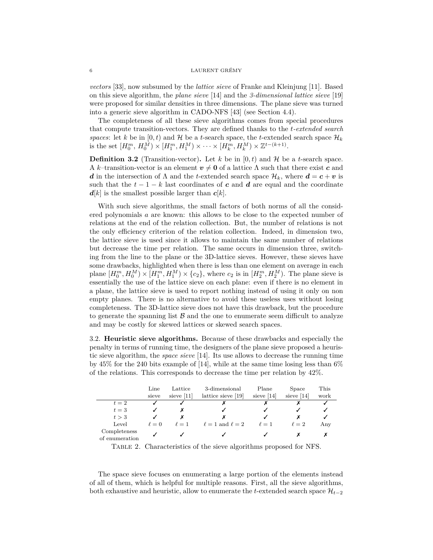*vectors* [\[33\]](#page-14-14), now subsumed by the *lattice sieve* of Franke and Kleinjung [\[11\]](#page-13-10). Based on this sieve algorithm, the *plane sieve* [\[14\]](#page-14-13) and the *3-dimensional lattice sieve* [\[19\]](#page-14-21) were proposed for similar densities in three dimensions. The plane sieve was turned into a generic sieve algorithm in CADO-NFS [\[43\]](#page-15-8) (see Section [4.4\)](#page-9-0).

The completeness of all these sieve algorithms comes from special procedures that compute transition-vectors. They are defined thanks to the *t-extended search spaces*: let *k* be in  $[0, t)$  and  $\mathcal{H}$  be a *t*-search space, the *t*-extended search space  $\mathcal{H}_k$ is the set  $[H_0^m, H_0^{\overline{M}}) \times [H_1^m, H_1^{\overline{M}}) \times \cdots \times [H_k^m, H_k^{\overline{M}}) \times \mathbb{Z}^{t-(k+1)}$ .

<span id="page-5-1"></span>**Definition 3.2** (Transition-vector). Let *k* be in  $[0, t)$  and  $\mathcal{H}$  be a *t*-search space. A *k*–transition-vector is an element  $v \neq 0$  of a lattice  $\Lambda$  such that there exist *c* and *d* in the intersection of  $\Lambda$  and the *t*-extended search space  $\mathcal{H}_k$ , where  $d = c + v$  is such that the  $t - 1 - k$  last coordinates of **c** and **d** are equal and the coordinate  $d[k]$  is the smallest possible larger than  $c[k]$ .

With such sieve algorithms, the small factors of both norms of all the considered polynomials *a* are known: this allows to be close to the expected number of relations at the end of the relation collection. But, the number of relations is not the only efficiency criterion of the relation collection. Indeed, in dimension two, the lattice sieve is used since it allows to maintain the same number of relations but decrease the time per relation. The same occurs in dimension three, switching from the line to the plane or the 3D-lattice sieves. However, these sieves have some drawbacks, highlighted when there is less than one element on average in each plane  $[H_0^m, H_0^M] \times [H_1^m, H_1^M] \times \{c_2\}$ , where  $c_2$  is in  $[H_2^m, H_2^M]$ . The plane sieve is essentially the use of the lattice sieve on each plane: even if there is no element in a plane, the lattice sieve is used to report nothing instead of using it only on non empty planes. There is no alternative to avoid these useless uses without losing completeness. The 3D-lattice sieve does not have this drawback, but the procedure to generate the spanning list  $\beta$  and the one to enumerate seem difficult to analyze and may be costly for skewed lattices or skewed search spaces.

3.2. **Heuristic sieve algorithms.** Because of these drawbacks and especially the penalty in terms of running time, the designers of the plane sieve proposed a heuristic sieve algorithm, the *space sieve* [\[14\]](#page-14-13). Its use allows to decrease the running time by  $45\%$  for the 240 bits example of [\[14\]](#page-14-13), while at the same time losing less than  $6\%$ of the relations. This corresponds to decrease the time per relation by 42%.

<span id="page-5-0"></span>

|                                | Line       | Lattice      | 3-dimensional             | Plane        | Space        | This |
|--------------------------------|------------|--------------|---------------------------|--------------|--------------|------|
|                                | sieve      | sieve $[11]$ | lattice sieve [19]        | sieve $[14]$ | sieve $[14]$ | work |
| $t=2$                          |            |              |                           |              |              |      |
| $t=3$                          |            |              |                           |              |              |      |
| t > 3                          |            |              |                           |              |              |      |
| Level                          | $\ell = 0$ | $\ell=1$     | $\ell = 1$ and $\ell = 2$ | $\ell=1$     | $\ell=2$     | Any  |
| Completeness<br>of enumeration |            |              |                           |              |              |      |

Table 2. Characteristics of the sieve algorithms proposed for NFS.

The space sieve focuses on enumerating a large portion of the elements instead of all of them, which is helpful for multiple reasons. First, all the sieve algorithms, both exhaustive and heuristic, allow to enumerate the *t*-extended search space  $\mathcal{H}_{t-2}$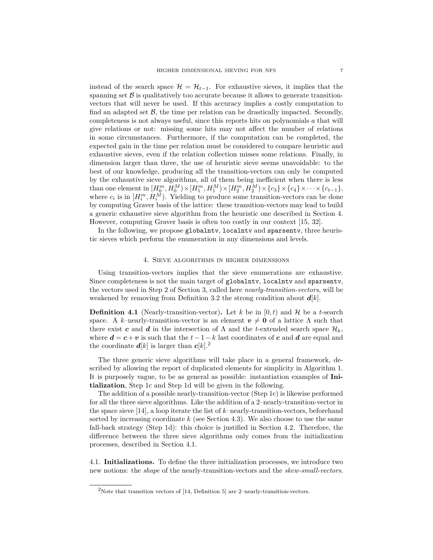instead of the search space  $\mathcal{H} = \mathcal{H}_{t-1}$ . For exhaustive sieves, it implies that the spanning set  $\beta$  is qualitatively too accurate because it allows to generate transitionvectors that will never be used. If this accuracy implies a costly computation to find an adapted set  $\beta$ , the time per relation can be drastically impacted. Secondly, completeness is not always useful, since this reports hits on polynomials *a* that will give relations or not: missing some hits may not affect the number of relations in some circumstances. Furthermore, if the computation can be completed, the expected gain in the time per relation must be considered to compare heuristic and exhaustive sieves, even if the relation collection misses some relations. Finally, in dimension larger than three, the use of heuristic sieve seems unavoidable: to the best of our knowledge, producing all the transition-vectors can only be computed by the exhaustive sieve algorithms, all of them being inefficient when there is less than one element in  $[H_0^m, H_0^M) \times [H_1^m, H_1^M) \times [H_2^m, H_2^M) \times \{c_3\} \times \{c_4\} \times \cdots \times \{c_{t-1}\},$ where  $c_i$  is in  $[H_i^m, H_i^M)$ . Yielding to produce some transition-vectors can be done by computing Graver basis of the lattice: these transition-vectors may lead to build a generic exhaustive sieve algorithm from the heuristic one described in Section [4.](#page-6-0) However, computing Graver basis is often too costly in our context [\[15,](#page-14-22) [32\]](#page-14-23).

In the following, we propose globalntv, localntv and sparsentv, three heuristic sieves which perform the enumeration in any dimensions and levels.

## 4. Sieve algorithms in higher dimensions

<span id="page-6-0"></span>Using transition-vectors implies that the sieve enumerations are exhaustive. Since completeness is not the main target of globalntv, localntv and sparsentv, the vectors used in Step [2](#page-4-3) of Section [3,](#page-4-0) called here *nearly-transition-vectors*, will be weakened by removing from Definition [3.2](#page-5-1) the strong condition about *d*[*k*].

**Definition 4.1** (Nearly-transition-vector). Let *k* be in  $[0, t)$  and  $\mathcal{H}$  be a *t*-search space. A *k*–nearly-transition-vector is an element  $v \neq 0$  of a lattice  $\Lambda$  such that there exist *c* and *d* in the intersection of  $\Lambda$  and the *t*-extended search space  $\mathcal{H}_k$ , where  $\mathbf{d} = \mathbf{c} + \mathbf{v}$  is such that the  $t - 1 - k$  last coordinates of  $\mathbf{c}$  and  $\mathbf{d}$  are equal and the coordinate  $d[k]$  is larger than  $c[k].^2$  $c[k].^2$ 

The three generic sieve algorithms will take place in a general framework, described by allowing the report of duplicated elements for simplicity in Algorithm [1.](#page-7-0) It is purposely vague, to be as general as possible: instantiation examples of **[Ini](#page-7-1)[tialization](#page-7-1)**, Step [1c](#page-7-2) and Step [1d](#page-7-3) will be given in the following.

The addition of a possible nearly-transition-vector (Step [1c\)](#page-7-2) is likewise performed for all the three sieve algorithms. Like the addition of a 2–nearly-transition-vector in the space sieve [\[14\]](#page-14-13), a loop iterate the list of *k*–nearly-transition-vectors, beforehand sorted by increasing coordinate *k* (see Section [4.3\)](#page-9-1). We also choose to use the same fall-back strategy (Step [1d\)](#page-7-3): this choice is justified in Section [4.2.](#page-8-0) Therefore, the difference between the three sieve algorithms only comes from the initialization processes, described in Section [4.1.](#page-6-2)

<span id="page-6-2"></span>4.1. **Initializations.** To define the three initialization processes, we introduce two new notions: the *shape* of the nearly-transition-vectors and the *skew-small-vectors*.

<span id="page-6-1"></span><sup>&</sup>lt;sup>2</sup>Note that transition vectors of [\[14,](#page-14-13) Definition 5] are 2-nearly-transition-vectors.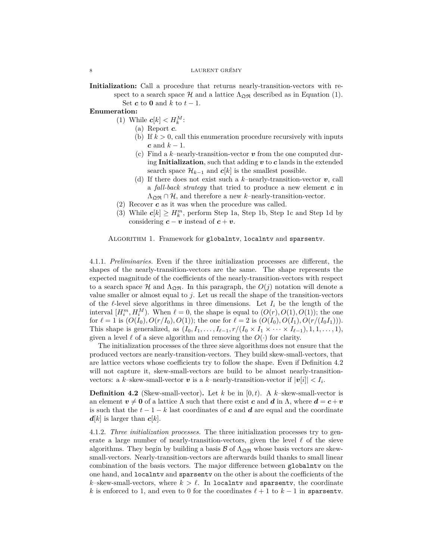<span id="page-7-1"></span><span id="page-7-0"></span>**Initialization:** Call a procedure that returns nearly-transition-vectors with respect to a search space H and a lattice  $\Lambda_{\mathfrak{Q}\mathfrak{R}}$  described as in Equation [\(1\)](#page-3-2). Set  $c$  to  $0$  and  $k$  to  $t-1$ .

#### <span id="page-7-5"></span><span id="page-7-4"></span><span id="page-7-2"></span>**Enumeration:**

- (1) While  $c[k] < H_k^M$ :
	- (a) Report *c*.
	- (b) If  $k > 0$ , call this enumeration procedure recursively with inputs *c* and *k* − 1.
	- (c) Find a *k*–nearly-transition-vector *v* from the one computed during **[Initialization](#page-7-1)**, such that adding *v* to *c* lands in the extended search space  $\mathcal{H}_{k-1}$  and  $c[k]$  is the smallest possible.
	- (d) If there does not exist such a *k*–nearly-transition-vector *v*, call a *fall-back strategy* that tried to produce a new element *c* in  $\Lambda_{\mathfrak{O}\mathfrak{R}} \cap \mathcal{H}$ , and therefore a new *k*-nearly-transition-vector.
- <span id="page-7-3"></span>(2) Recover *c* as it was when the procedure was called.
- (3) While  $c[k] \geq H_k^m$ , perform Step [1a,](#page-7-4) Step [1b,](#page-7-5) Step [1c](#page-7-2) and Step [1d](#page-7-3) by considering  $c - v$  instead of  $c + v$ .

Algorithm 1. Framework for globalntv, localntv and sparsentv.

4.1.1. *Preliminaries.* Even if the three initialization processes are different, the shapes of the nearly-transition-vectors are the same. The shape represents the expected magnitude of the coefficients of the nearly-transition-vectors with respect to a search space H and  $\Lambda_{\Omega}$ <sub>R</sub>. In this paragraph, the  $O(j)$  notation will denote a value smaller or almost equal to *j*. Let us recall the shape of the transition-vectors of the  $\ell$ -level sieve algorithms in three dimensions. Let  $I_i$  be the length of the interval  $[H_i^m, H_i^M)$ . When  $\ell = 0$ , the shape is equal to  $(O(r), O(1), O(1))$ ; the one for  $\ell = 1$  is  $(O(I_0), O(r/I_0), O(1))$ ; the one for  $\ell = 2$  is  $(O(I_0), O(I_1), O(r/(I_0 I_1)))$ . This shape is generalized, as  $(I_0, I_1, \ldots, I_{\ell-1}, r/(I_0 \times I_1 \times \cdots \times I_{\ell-1}), 1, 1, \ldots, 1)$ , given a level  $\ell$  of a sieve algorithm and removing the  $O(\cdot)$  for clarity.

The initialization processes of the three sieve algorithms does not ensure that the produced vectors are nearly-transition-vectors. They build skew-small-vectors, that are lattice vectors whose coefficients try to follow the shape. Even if Definition [4.2](#page-7-6) will not capture it, skew-small-vectors are build to be almost nearly-transitionvectors: a *k*-skew-small-vector *v* is a *k*-nearly-transition-vector if  $|v[i]| < I_i$ .

<span id="page-7-6"></span>**Definition 4.2** (Skew-small-vector). Let *k* be in  $[0, t)$ . A *k*–skew-small-vector is an element  $v \neq 0$  of a lattice  $\Lambda$  such that there exist *c* and *d* in  $\Lambda$ , where  $d = c + v$ is such that the  $t-1-k$  last coordinates of c and d are equal and the coordinate  $d[k]$  is larger than  $c[k]$ .

4.1.2. *Three initialization processes.* The three initialization processes try to generate a large number of nearly-transition-vectors, given the level  $\ell$  of the sieve algorithms. They begin by building a basis  $\beta$  of  $\Lambda_{\mathfrak{M}}$  whose basis vectors are skewsmall-vectors. Nearly-transition-vectors are afterwards build thanks to small linear combination of the basis vectors. The major difference between globalntv on the one hand, and localntv and sparsentv on the other is about the coefficients of the  $k$ –skew-small-vectors, where  $k > \ell$ . In localnty and sparsenty, the coordinate *k* is enforced to 1, and even to 0 for the coordinates  $\ell + 1$  to  $k - 1$  in sparsentv.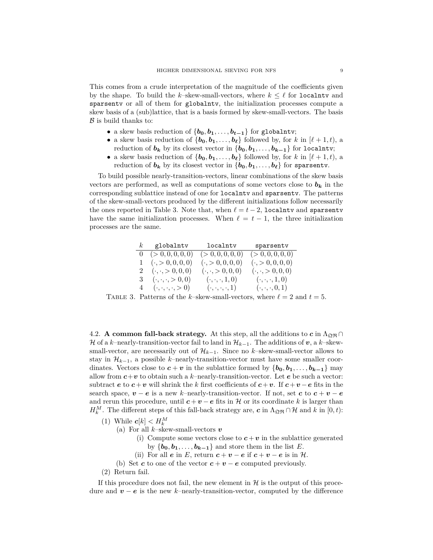This comes from a crude interpretation of the magnitude of the coefficients given by the shape. To build the *k*–skew-small-vectors, where  $k \leq \ell$  for localntv and sparsentv or all of them for globalntv, the initialization processes compute a skew basis of a (sub)lattice, that is a basis formed by skew-small-vectors. The basis  $\beta$  is build thanks to:

- a skew basis reduction of  $\{b_0, b_1, \ldots, b_{t-1}\}$  for globalntv;
- a skew basis reduction of  $\{b_0, b_1, \ldots, b_\ell\}$  followed by, for *k* in  $[\ell + 1, t)$ , a reduction of  $b_k$  by its closest vector in  $\{b_0, b_1, \ldots, b_{k-1}\}$  for localntv;
- a skew basis reduction of  $\{b_0, b_1, \ldots, b_\ell\}$  followed by, for *k* in  $[\ell + 1, t)$ , a reduction of  $b_k$  by its closest vector in  $\{b_0, b_1, \ldots, b_\ell\}$  for sparsenty.

To build possible nearly-transition-vectors, linear combinations of the skew basis vectors are performed, as well as computations of some vectors close to  $b_k$  in the corresponding sublattice instead of one for localntv and sparsentv. The patterns of the skew-small-vectors produced by the different initializations follow necessarily the ones reported in Table [3.](#page-8-1) Note that, when  $\ell = t - 2$ , localntv and sparsentv have the same initialization processes. When  $\ell = t - 1$ , the three initialization processes are the same.

<span id="page-8-1"></span>

|                | $k$ globalntv                   | localntv                      | sparsentv                     |
|----------------|---------------------------------|-------------------------------|-------------------------------|
|                | $0 \quad (>0,0,0,0,0)$          | (> 0, 0, 0, 0, 0)             | (> 0, 0, 0, 0, 0)             |
|                | $(\cdot, > 0, 0, 0, 0)$         | $(\cdot, > 0, 0, 0, 0)$       | $(\cdot, > 0, 0, 0, 0)$       |
| $\overline{2}$ | $(\cdot, \cdot, > 0, 0, 0)$     | $(\cdot, \cdot, > 0, 0, 0)$   | $(\cdot, \cdot, > 0, 0, 0)$   |
| 3              | $(\cdot, \cdot, \cdot, > 0, 0)$ | $(\cdot,\cdot,\cdot,1,0)$     | $(\cdot, \cdot, \cdot, 1, 0)$ |
| 4              | $(\cdot,\cdot,\cdot,\cdot>0)$   | $(\cdot,\cdot,\cdot,\cdot,1)$ | $(\cdot, \cdot, \cdot, 0, 1)$ |
|                |                                 |                               |                               |

TABLE 3. Patterns of the *k*–skew-small-vectors, where  $\ell = 2$  and  $t = 5$ .

<span id="page-8-0"></span>4.2. **A common fall-back strategy.** At this step, all the additions to  $c$  in  $\Lambda_{\mathfrak{Q}\mathfrak{R}} \cap$ *H* of a *k*−nearly-transition-vector fail to land in  $\mathcal{H}_{k-1}$ . The additions of *v*, a *k*−skewsmall-vector, are necessarily out of  $\mathcal{H}_{k-1}$ . Since no *k*–skew-small-vector allows to stay in  $\mathcal{H}_{k-1}$ , a possible *k*–nearly-transition-vector must have some smaller coordinates. Vectors close to  $c + v$  in the sublattice formed by  $\{b_0, b_1, \ldots, b_{k-1}\}\$  may allow from  $c + v$  to obtain such a *k*–nearly-transition-vector. Let *e* be such a vector: subtract  $e$  to  $c + v$  will shrink the  $k$  first coefficients of  $c + v$ . If  $c + v - e$  fits in the search space,  $v - e$  is a new *k*-nearly-transition-vector. If not, set *c* to  $c + v - e$ and rerun this procedure, until  $c + v - e$  fits in H or its coordinate k is larger than *H*<sup>*M*</sup>. The different steps of this fall-back strategy are, *c* in  $\Lambda_{\mathfrak{Q}\mathfrak{R}} \cap \mathcal{H}$  and *k* in [0, *t*):

- <span id="page-8-2"></span>(1) While  $c[k] < H_k^M$ 
	- (a) For all *k*–skew-small-vectors *v*
		- (i) Compute some vectors close to  $c + v$  in the sublattice generated by  ${\bf \{b_0, b_1, \ldots, b_{k-1}\}$  and store them in the list *E*.
		- (ii) For all  $e$  in  $E$ , return  $c + v e$  if  $c + v e$  is in  $H$ .
	- (b) Set **c** to one of the vector  $c + v e$  computed previously.
- <span id="page-8-3"></span>(2) Return fail.

If this procedure does not fail, the new element in  $\mathcal H$  is the output of this procedure and *v* − *e* is the new *k*–nearly-transition-vector, computed by the difference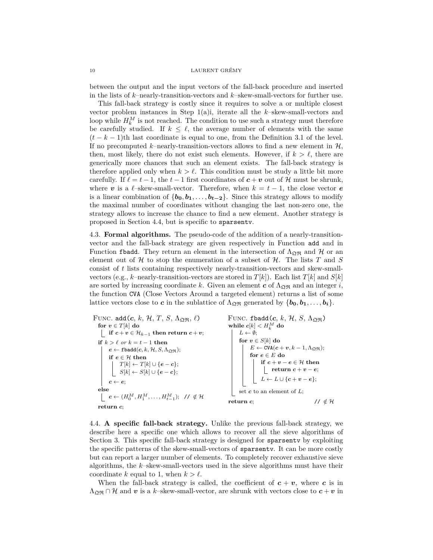between the output and the input vectors of the fall-back procedure and inserted in the lists of *k*–nearly-transition-vectors and *k*–skew-small-vectors for further use.

This fall-back strategy is costly since it requires to solve a or multiple closest vector problem instances in Step [1\(a\)i,](#page-8-2) iterate all the *k*–skew-small-vectors and loop while  $H_k^M$  is not reached. The condition to use such a strategy must therefore be carefully studied. If  $k \leq \ell$ , the average number of elements with the same  $(t - k - 1)$ th last coordinate is equal to one, from the Definition [3.1](#page-4-2) of the level. If no precomputed  $k$ –nearly-transition-vectors allows to find a new element in  $H$ , then, most likely, there do not exist such elements. However, if  $k > \ell$ , there are generically more chances that such an element exists. The fall-back strategy is therefore applied only when  $k > \ell$ . This condition must be study a little bit more carefully. If  $\ell = t - 1$ , the  $t - 1$  first coordinates of  $c + v$  out of H must be shrunk, where *v* is a  $\ell$ –skew-small-vector. Therefore, when  $k = t - 1$ , the close vector *e* is a linear combination of  $\{b_0, b_1, \ldots, b_{t-2}\}$ . Since this strategy allows to modify the maximal number of coordinates without changing the last non-zero one, the strategy allows to increase the chance to find a new element. Another strategy is proposed in Section [4.4,](#page-9-0) but is specific to sparsentv.

<span id="page-9-1"></span>4.3. **Formal algorithms.** The pseudo-code of the addition of a nearly-transitionvector and the fall-back strategy are given respectively in Function [add](#page-9-2) and in Function [fbadd](#page-9-3). They return an element in the intersection of  $\Lambda_{\mathfrak{OR}}$  and H or an element out of  $H$  to stop the enumeration of a subset of  $H$ . The lists  $T$  and  $S$ consist of *t* lists containing respectively nearly-transition-vectors and skew-smallvectors (e.g.,  $k$ –nearly-transition-vectors are stored in  $T[k]$ ). Each list  $T[k]$  and  $S[k]$ are sorted by increasing coordinate *k*. Given an element  $c$  of  $\Lambda_{\mathfrak{Q}\mathfrak{R}}$  and an integer *i*, the function CVA (Close Vectors Around a targeted element) returns a list of some lattice vectors close to *c* in the sublattice of  $\Lambda_{\mathfrak{Q}\mathfrak{R}}$  generated by  $\{b_0, b_1, \ldots, b_i\}$ .

FUNC. add $(c, k, \mathcal{H}, T, S, \Lambda_{\mathfrak{Q}\mathfrak{R}}, \ell)$ **for**  $v \in T[k]$  **do**  $\parallel$  **if**  $c + v \in \mathcal{H}_{k-1}$  then return  $c + v$ ; **if**  $k > \ell$  *or*  $k = t - 1$  **then**  $e \leftarrow \texttt{fbadd}(c, k, \mathcal{H}, S, \Lambda_{\mathfrak{Q}\mathfrak{R}});$  $e \leftarrow \texttt{fbadd}(c, k, \mathcal{H}, S, \Lambda_{\mathfrak{Q}\mathfrak{R}});$  $e \leftarrow \texttt{fbadd}(c, k, \mathcal{H}, S, \Lambda_{\mathfrak{Q}\mathfrak{R}});$ **if**  $e \in \mathcal{H}$  **then**  $T[k] \leftarrow T[k] \cup \{e-c\};$  $S[k] \leftarrow S[k] \cup \{e-c\};$  $c \leftarrow e$ ; **else**  $c \leftarrow (H_0^M, H_1^M, \ldots, H_{t-1}^M); \; / \neq \mathcal{H}$ **return** *c*; FUNC. fbadd $(c, k, \mathcal{H}, S, \Lambda_{\mathfrak{OB}})$ while  $c[k] < H_k^M$  do  $L \leftarrow \emptyset$ ; **for**  $v \in S[k]$  **do**  $E \leftarrow \texttt{CVA}(c + v, k - 1, \Lambda_{\mathfrak{Q}\mathfrak{R}});$ for  $\textit{\textbf{e}} \in E$  do **if**  $c + v - e \in H$  **then** *return*  $c + v - e$ ;  $L \leftarrow L \cup \{c + v - e\};$ set *c* to an element of *L*; **return** *c*;  $\angle$  //  $\notin \mathcal{H}$ 

<span id="page-9-3"></span><span id="page-9-2"></span><span id="page-9-0"></span>4.4. **A specific fall-back strategy.** Unlike the previous fall-back strategy, we describe here a specific one which allows to recover all the sieve algorithms of Section [3.](#page-4-0) This specific fall-back strategy is designed for sparsentv by exploiting the specific patterns of the skew-small-vectors of sparsentv. It can be more costly but can report a larger number of elements. To completely recover exhaustive sieve algorithms, the *k*–skew-small-vectors used in the sieve algorithms must have their coordinate *k* equal to 1, when  $k > l$ .

When the fall-back strategy is called, the coefficient of  $c + v$ , where *c* is in  $\Lambda_{\mathfrak{D}\mathfrak{R}} \cap \mathcal{H}$  and  $v$  is a *k*-skew-small-vector, are shrunk with vectors close to  $c + v$  in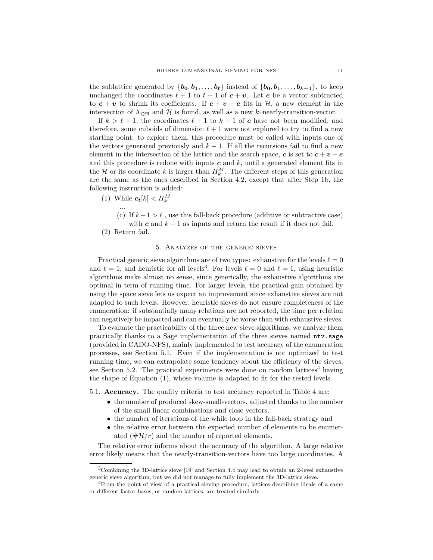the sublattice generated by  $\{b_0, b_1, \ldots, b_\ell\}$  instead of  $\{b_0, b_1, \ldots, b_{k-1}\}$ , to keep unchanged the coordinates  $\ell + 1$  to  $t - 1$  of  $c + v$ . Let *e* be a vector subtracted to  $c + v$  to shrink its coefficients. If  $c + v - e$  fits in  $H$ , a new element in the intersection of  $\Lambda_{\mathfrak{Q}\mathfrak{R}}$  and  $\mathcal H$  is found, as well as a new *k*–nearly-transition-vector.

If  $k > \ell + 1$ , the coordinates  $\ell + 1$  to  $k - 1$  of **c** have not been modified, and therefore, some cuboids of dimension  $\ell + 1$  were not explored to try to find a new starting point: to explore them, this procedure must be called with inputs one of the vectors generated previously and  $k - 1$ . If all the recursions fail to find a new element in the intersection of the lattice and the search space,  $c$  is set to  $c + v - e$ and this procedure is redone with inputs  $c$  and  $k$ , until a generated element fits in the  $\mathcal{H}$  or its coordinate  $k$  is larger than  $H_k^M$ . The different steps of this generation are the same as the ones described in Section [4.2,](#page-8-0) except that after Step [1b,](#page-8-3) the following instruction is added:

- (1) While  $c_t[k] < H_k^M$ 
	- (c) If  $k-1 > \ell$ , use this fall-back procedure (additive or subtractive case) with  $c$  and  $k-1$  as inputs and return the result if it does not fail.

...

### 5. Analyzes of the generic sieves

<span id="page-10-0"></span>Practical generic sieve algorithms are of two types: exhaustive for the levels  $\ell = 0$ and  $\ell = 1$ , and heuristic for all levels<sup>[3](#page-10-1)</sup>. For levels  $\ell = 0$  and  $\ell = 1$ , using heuristic algorithms make almost no sense, since generically, the exhaustive algorithms are optimal in term of running time. For larger levels, the practical gain obtained by using the space sieve lets us expect an improvement since exhaustive sieves are not adapted to such levels. However, heuristic sieves do not ensure completeness of the enumeration: if substantially many relations are not reported, the time per relation can negatively be impacted and can eventually be worse than with exhaustive sieves.

To evaluate the practicability of the three new sieve algorithms, we analyze them practically thanks to a Sage implementation of the three sieves named ntv.sage (provided in CADO-NFS), mainly implemented to test accuracy of the enumeration processes, see Section [5.1.](#page-10-2) Even if the implementation is not optimized to test running time, we can extrapolate some tendency about the efficiency of the sieves, see Section [5.2.](#page-12-0) The practical experiments were done on random lattices<sup>[4](#page-10-3)</sup> having the shape of Equation [\(1\)](#page-3-2), whose volume is adapted to fit for the tested levels.

<span id="page-10-2"></span>5.1. **Accuracy.** The quality criteria to test accuracy reported in Table [4](#page-11-0) are:

- the number of produced skew-small-vectors, adjusted thanks to the number of the small linear combinations and close vectors,
- the number of iterations of the while loop in the fall-back strategy and
- the relative error between the expected number of elements to be enumerated  $(\#\mathcal{H}/r)$  and the number of reported elements.

The relative error informs about the accuracy of the algorithm. A large relative error likely means that the nearly-transition-vectors have too large coordinates. A

<sup>(2)</sup> Return fail.

<span id="page-10-1"></span><sup>3</sup>Combining the 3D-lattice sieve [\[19\]](#page-14-21) and Section [4.4](#page-9-0) may lead to obtain an 2-level exhaustive generic sieve algorithm, but we did not manage to fully implement the 3D-lattice sieve.

<span id="page-10-3"></span><sup>&</sup>lt;sup>4</sup>From the point of view of a practical sieving procedure, lattices describing ideals of a same or different factor bases, or random lattices, are treated similarly.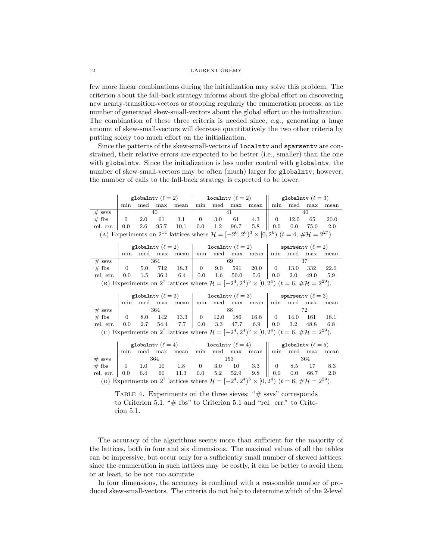few more linear combinations during the initialization may solve this problem. The criterion about the fall-back strategy informs about the global effort on discovering new nearly-transition-vectors or stopping regularly the enumeration process, as the number of generated skew-small-vectors about the global effort on the initialization. The combination of these three criteria is needed since, e.g., generating a huge amount of skew-small-vectors will decrease quantitatively the two other criteria by putting solely too much effort on the initialization.

Since the patterns of the skew-small-vectors of localntv and sparsentv are constrained, their relative errors are expected to be better (i.e., smaller) than the one with globalntv. Since the initialization is less under control with globalntv, the number of skew-small-vectors may be often (much) larger for globalntv; however, the number of calls to the fall-back strategy is expected to be lower.

<span id="page-11-0"></span>

|                                                                      |                                        |  |  |  | globalntv $(\ell = 2)$   localntv $(\ell = 2)$   globalntv $(\ell = 3)$ |  |  |                                                                                                                               |  |  |  |      |
|----------------------------------------------------------------------|----------------------------------------|--|--|--|-------------------------------------------------------------------------|--|--|-------------------------------------------------------------------------------------------------------------------------------|--|--|--|------|
|                                                                      |                                        |  |  |  |                                                                         |  |  | min med max mean min med max mean min med max mean                                                                            |  |  |  |      |
| $#$ ssys                                                             |                                        |  |  |  |                                                                         |  |  |                                                                                                                               |  |  |  |      |
| $#$ fbs                                                              | $\begin{array}{cc} \hline \end{array}$ |  |  |  |                                                                         |  |  | 2.0 61 3.1   0 3.0 61 4.3    0 12.0 65                                                                                        |  |  |  | 20.0 |
| rel. err.   0.0 2.6 95.7 10.1   0.0 1.2 96.7 5.8    0.0 0.0 75.0 2.0 |                                        |  |  |  |                                                                         |  |  |                                                                                                                               |  |  |  |      |
|                                                                      |                                        |  |  |  |                                                                         |  |  | (A) Experiments on $2^{14}$ lattices where $\mathcal{H} = [-2^6, 2^6)^3 \times [0, 2^6)$ $(t = 4, \# \mathcal{H} = 2^{27})$ . |  |  |  |      |

|                                                                                                                                     | globalntv $(\ell = 2)$   localntv $(\ell = 2)$ |         |  |                |  |  |  |                     | sparsenty $(\ell = 2)$ |  |                  |       |  |
|-------------------------------------------------------------------------------------------------------------------------------------|------------------------------------------------|---------|--|----------------|--|--|--|---------------------|------------------------|--|------------------|-------|--|
|                                                                                                                                     | min                                            |         |  | med max mean   |  |  |  | min med max mean    |                        |  | min med max mean |       |  |
| $#$ ssys                                                                                                                            | 364                                            |         |  |                |  |  |  |                     |                        |  |                  |       |  |
| $#$ fbs                                                                                                                             | $\begin{matrix} \end{matrix}$                  | 5.0 712 |  | 18.3 0 9.0 591 |  |  |  | $20.0$   0 13.0 332 |                        |  |                  | 22.0  |  |
| rel. err.   0.0 1.5 36.1 6.4   0.0 1.6 50.0 5.6   0.0 2.0 49.0                                                                      |                                                |         |  |                |  |  |  |                     |                        |  |                  | - 5.9 |  |
| (B) Experiments on 2 <sup>7</sup> lattices where $\mathcal{H} = [-2^4, 2^4)^5 \times [0, 2^4)$ $(t = 6, \# \mathcal{H} = 2^{29})$ . |                                                |         |  |                |  |  |  |                     |                        |  |                  |       |  |

|                                                                                                                                     |                               |     |     |              | globalntv $(\ell = 3)$   localntv $(\ell = 3)$ |  |  |                              | sparsenty $(\ell = 3)$ |          |                  |        |  |
|-------------------------------------------------------------------------------------------------------------------------------------|-------------------------------|-----|-----|--------------|------------------------------------------------|--|--|------------------------------|------------------------|----------|------------------|--------|--|
|                                                                                                                                     | $+$ min $-$                   |     |     | med max mean |                                                |  |  | min med max mean             |                        |          | min med max mean |        |  |
| $#$ ssys                                                                                                                            | 364                           |     |     |              |                                                |  |  |                              |                        |          |                  |        |  |
| $#$ fbs                                                                                                                             | $\begin{matrix} \end{matrix}$ | 8.0 | 142 |              |                                                |  |  | $13.3$   0 12.0 186 16.8   0 |                        | 14.0 161 |                  | - 18.1 |  |
| rel. err.   $0.0$ 2.7 54.4 7.7   $0.0$ 3.3 47.7 6.9   $0.0$ 3.2 48.8 6.8                                                            |                               |     |     |              |                                                |  |  |                              |                        |          |                  |        |  |
| (c) Experiments on 2 <sup>7</sup> lattices where $\mathcal{H} = [-2^4, 2^4)^5 \times [0, 2^4)$ $(t = 6, \# \mathcal{H} = 2^{29})$ . |                               |     |     |              |                                                |  |  |                              |                        |          |                  |        |  |

|                                                                                                                                     |                                           |  |  |                                                     | globalntv $(\ell = 4)$   localntv $(\ell = 4)$   globalntv $(\ell = 5)$ |  |     |                                   |     |  |                       |  |
|-------------------------------------------------------------------------------------------------------------------------------------|-------------------------------------------|--|--|-----------------------------------------------------|-------------------------------------------------------------------------|--|-----|-----------------------------------|-----|--|-----------------------|--|
|                                                                                                                                     |                                           |  |  | min med max mean                                    |                                                                         |  |     | min med max mean min med max mean |     |  |                       |  |
| $#$ ssys                                                                                                                            | 364                                       |  |  |                                                     |                                                                         |  | 153 |                                   | 364 |  |                       |  |
| $#$ fbs                                                                                                                             | $\begin{array}{ccc} & & 0 \\ \end{array}$ |  |  | $1.0 \quad 10 \quad 1.8 \quad 0 \quad 3.0 \quad 10$ |                                                                         |  |     |                                   |     |  | $3.3$    0 8.5 17 8.3 |  |
|                                                                                                                                     |                                           |  |  |                                                     |                                                                         |  |     |                                   |     |  |                       |  |
| (D) Experiments on 2 <sup>7</sup> lattices where $\mathcal{H} = [-2^4, 2^4)^5 \times [0, 2^4)$ $(t = 6, \# \mathcal{H} = 2^{29})$ . |                                           |  |  |                                                     |                                                                         |  |     |                                   |     |  |                       |  |

TABLE 4. Experiments on the three sieves: "# ssvs" corresponds to Criterion [5.1,](#page-10-2) " $#$  fbs" to Criterion [5.1](#page-10-2) and "rel. err." to Criterion [5.1.](#page-10-2)

The accuracy of the algorithms seems more than sufficient for the majority of the lattices, both in four and six dimensions. The maximal values of all the tables can be impressive, but occur only for a sufficiently small number of skewed lattices: since the enumeration in such lattices may be costly, it can be better to avoid them or at least, to be not too accurate.

In four dimensions, the accuracy is combined with a reasonable number of produced skew-small-vectors. The criteria do not help to determine which of the 2-level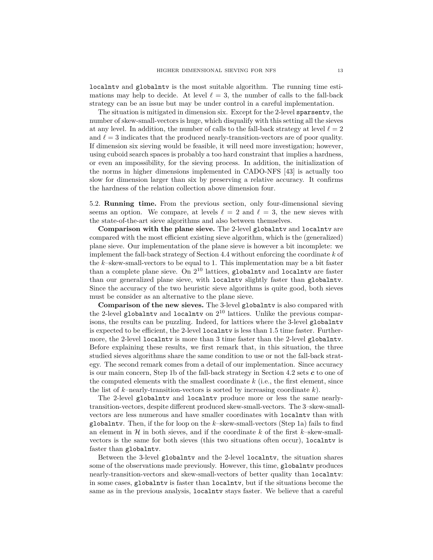localntv and globalntv is the most suitable algorithm. The running time estimations may help to decide. At level  $\ell = 3$ , the number of calls to the fall-back strategy can be an issue but may be under control in a careful implementation.

The situation is mitigated in dimension six. Except for the 2-level sparsentv, the number of skew-small-vectors is huge, which disqualify with this setting all the sieves at any level. In addition, the number of calls to the fall-back strategy at level  $\ell = 2$ and  $\ell = 3$  indicates that the produced nearly-transition-vectors are of poor quality. If dimension six sieving would be feasible, it will need more investigation; however, using cuboid search spaces is probably a too hard constraint that implies a hardness, or even an impossibility, for the sieving process. In addition, the initialization of the norms in higher dimensions implemented in CADO-NFS [\[43\]](#page-15-8) is actually too slow for dimension larger than six by preserving a relative accuracy. It confirms the hardness of the relation collection above dimension four.

<span id="page-12-0"></span>5.2. **Running time.** From the previous section, only four-dimensional sieving seems an option. We compare, at levels  $\ell = 2$  and  $\ell = 3$ , the new sieves with the state-of-the-art sieve algorithms and also between themselves.

**Comparison with the plane sieve.** The 2-level globalntv and localntv are compared with the most efficient existing sieve algorithm, which is the (generalized) plane sieve. Our implementation of the plane sieve is however a bit incomplete: we implement the fall-back strategy of Section [4.4](#page-9-0) without enforcing the coordinate *k* of the *k*–skew-small-vectors to be equal to 1. This implementation may be a bit faster than a complete plane sieve. On  $2^{10}$  lattices, globalntv and localntv are faster than our generalized plane sieve, with localntv slightly faster than globalntv. Since the accuracy of the two heuristic sieve algorithms is quite good, both sieves must be consider as an alternative to the plane sieve.

**Comparison of the new sieves.** The 3-level globalntv is also compared with the 2-level globalntv and localntv on  $2^{10}$  lattices. Unlike the previous comparisons, the results can be puzzling. Indeed, for lattices where the 3-level globalntv is expected to be efficient, the 2-level localntv is less than 1*.*5 time faster. Furthermore, the 2-level localntv is more than 3 time faster than the 2-level globalntv. Before explaining these results, we first remark that, in this situation, the three studied sieves algorithms share the same condition to use or not the fall-back strategy. The second remark comes from a detail of our implementation. Since accuracy is our main concern, Step [1b](#page-8-3) of the fall-back strategy in Section [4.2](#page-8-0) sets *c* to one of the computed elements with the smallest coordinate *k* (i.e., the first element, since the list of *k*–nearly-transition-vectors is sorted by increasing coordinate *k*).

The 2-level globalntv and localntv produce more or less the same nearlytransition-vectors, despite different produced skew-small-vectors. The 3–skew-smallvectors are less numerous and have smaller coordinates with localntv than with globalntv. Then, if the for loop on the *k*–skew-small-vectors (Step [1a\)](#page-3-1) fails to find an element in  $H$  in both sieves, and if the coordinate  $k$  of the first  $k$ –skew-smallvectors is the same for both sieves (this two situations often occur), localntv is faster than globalntv.

Between the 3-level globalntv and the 2-level localntv, the situation shares some of the observations made previously. However, this time, globalntv produces nearly-transition-vectors and skew-small-vectors of better quality than localntv: in some cases, globalntv is faster than localntv, but if the situations become the same as in the previous analysis, localntv stays faster. We believe that a careful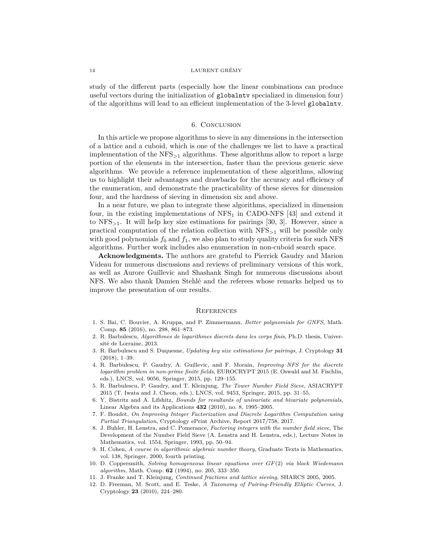study of the different parts (especially how the linear combinations can produce useful vectors during the initialization of globalntv specialized in dimension four) of the algorithms will lead to an efficient implementation of the 3-level globalntv.

## 6. Conclusion

In this article we propose algorithms to sieve in any dimensions in the intersection of a lattice and a cuboid, which is one of the challenges we list to have a practical implementation of the NFS*>*<sup>1</sup> algorithms. These algorithms allow to report a large portion of the elements in the intersection, faster than the previous generic sieve algorithms. We provide a reference implementation of these algorithms, allowing us to highlight their advantages and drawbacks for the accuracy and efficiency of the enumeration, and demonstrate the practicability of these sieves for dimension four, and the hardness of sieving in dimension six and above.

In a near future, we plan to integrate these algorithms, specialized in dimension four, in the existing implementations of  $NFS_1$  in CADO-NFS [\[43\]](#page-15-8) and extend it to NFS*<sup>&</sup>gt;*1. It will help key size estimations for pairings [\[30,](#page-14-4) [3\]](#page-13-11). However, since a practical computation of the relation collection with NFS*<sup>&</sup>gt;*<sup>1</sup> will be possible only with good polynomials  $f_0$  and  $f_1$ , we also plan to study quality criteria for such NFS algorithms. Further work includes also enumeration in non-cuboid search space.

**Acknowledgments.** The authors are grateful to Pierrick Gaudry and Marion Videau for numerous discussions and reviews of preliminary versions of this work, as well as Aurore Guillevic and Shashank Singh for numerous discussions about NFS. We also thank Damien Stehlé and the referees whose remarks helped us to improve the presentation of our results.

#### **REFERENCES**

- <span id="page-13-2"></span>1. S. Bai, C. Bouvier, A. Kruppa, and P. Zimmermann, *Better polynomials for GNFS*, Math. Comp. **85** (2016), no. 298, 861–873.
- <span id="page-13-9"></span>2. R. Barbulescu, *Algorithmes de logarithmes discrets dans les corps finis*, Ph.D. thesis, Université de Lorraine, 2013.
- <span id="page-13-11"></span>3. R. Barbulescu and S. Duquesne, *Updating key size estimations for pairings*, J. Cryptology **31** (2018), 1–39.
- <span id="page-13-1"></span>4. R. Barbulescu, P. Gaudry, A. Guillevic, and F. Morain, *Improving NFS for the discrete logarithm problem in non-prime finite fields*, EUROCRYPT 2015 (E. Oswald and M. Fischlin, eds.), LNCS, vol. 9056, Springer, 2015, pp. 129–155.
- <span id="page-13-5"></span>5. R. Barbulescu, P. Gaudry, and T. Kleinjung, *The Tower Number Field Sieve*, ASIACRYPT 2015 (T. Iwata and J. Cheon, eds.), LNCS, vol. 9453, Springer, 2015, pp. 31–55.
- <span id="page-13-6"></span>6. Y. Bistritz and A. Lifshitz, *Bounds for resultants of univariate and bivariate polynomials*, Linear Algebra and its Applications **432** (2010), no. 8, 1995–2005.
- <span id="page-13-3"></span>7. F. Boudot, *On Improving Integer Factorization and Discrete Logarithm Computation using Partial Triangulation*, Cryptology ePrint Archive, Report 2017/758, 2017.
- <span id="page-13-4"></span>8. J. Buhler, H. Lenstra, and C. Pomerance, *Factoring integers with the number field sieve*, The Development of the Number Field Sieve (A. Lenstra and H. Lenstra, eds.), Lecture Notes in Mathematics, vol. 1554, Springer, 1993, pp. 50–94.
- <span id="page-13-7"></span>9. H. Cohen, *A course in algorithmic algebraic number theory*, Graduate Texts in Mathematics, vol. 138, Springer, 2000, fourth printing.
- <span id="page-13-8"></span>10. D. Coppersmith, *Solving homogeneous linear equations over GF*(2) *via block Wiedemann algorithm*, Math. Comp. **62** (1994), no. 205, 333–350.
- <span id="page-13-10"></span>11. J. Franke and T. Kleinjung, *Continued fractions and lattice sieving*, SHARCS 2005, 2005.
- <span id="page-13-0"></span>12. D. Freeman, M. Scott, and E. Teske, *A Taxonomy of Pairing-Friendly Elliptic Curves*, J. Cryptology **23** (2010), 224–280.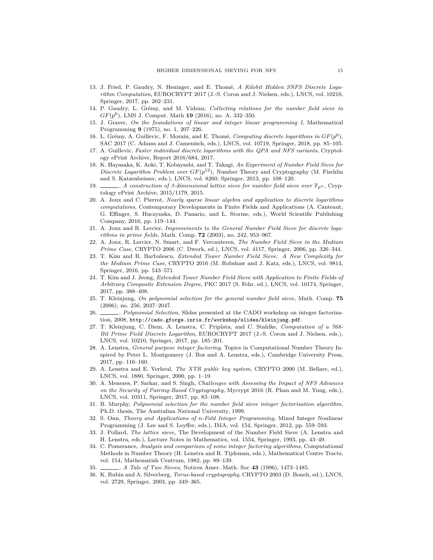- <span id="page-14-16"></span>13. J. Fried, P. Gaudry, N. Heninger, and E. Thomé, *A Kilobit Hidden SNFS Discrete Logarithm Computation*, EUROCRYPT 2017 (J.-S. Coron and J. Nielsen, eds.), LNCS, vol. 10210, Springer, 2017, pp. 202–231.
- <span id="page-14-13"></span>14. P. Gaudry, L. Grémy, and M. Videau, *Collecting relations for the number field sieve in GF*(*p* 6 ), LMS J. Comput. Math **19** (2016), no. A, 332–350.
- <span id="page-14-22"></span>15. J. Graver, *On the foundations of linear and integer linear programming I*, Mathematical Programming **9** (1975), no. 1, 207–226.
- <span id="page-14-6"></span>16. L. Grémy, A. Guillevic, F. Morain, and E. Thomé, *Computing discrete logarithms in*  $GF(p^6)$ , SAC 2017 (C. Adams and J. Camenisch, eds.), LNCS, vol. 10719, Springer, 2018, pp. 85–105.
- <span id="page-14-18"></span>17. A. Guillevic, *Faster individual discrete logarithms with the QPA and NFS variants*, Cryptology ePrint Archive, Report 2016/684, 2017.
- <span id="page-14-7"></span>18. K. Hayasaka, K. Aoki, T. Kobayashi, and T. Takagi, *An Experiment of Number Field Sieve for Discrete Logarithm Problem over*  $GF(p^{12})$ , Number Theory and Cryptography (M. Fischlin and S. Katzenbeisser, eds.), LNCS, vol. 8260, Springer, 2013, pp. 108–120.
- <span id="page-14-21"></span>19.  $\Box$ , *A construction of 3-dimensional lattice sieve for number field sieve over*  $\mathbb{F}_{p^n}$ , Cryptology ePrint Archive, 2015/1179, 2015.
- <span id="page-14-15"></span>20. A. Joux and C. Pierrot, *Nearly sparse linear algebra and application to discrete logarithms computations*, Contemporary Developments in Finite Fields and Applications (A. Canteaut, G. Effinger, S. Huczynska, D. Panario, and L. Storme, eds.), World Scientific Publishing Company, 2016, pp. 119–144.
- <span id="page-14-11"></span>21. A. Joux and R. Lercier, *Improvements to the General Number Field Sieve for discrete logarithms in prime fields*, Math. Comp. **72** (2003), no. 242, 953–967.
- <span id="page-14-0"></span>22. A. Joux, R. Lercier, N. Smart, and F. Vercauteren, *The Number Field Sieve in the Medium Prime Case*, CRYPTO 2006 (C. Dwork, ed.), LNCS, vol. 4117, Springer, 2006, pp. 326–344.
- <span id="page-14-3"></span>23. T. Kim and R. Barbulescu, *Extended Tower Number Field Sieve: A New Complexity for the Medium Prime Case*, CRYPTO 2016 (M. Robshaw and J. Katz, eds.), LNCS, vol. 9814, Springer, 2016, pp. 543–571.
- <span id="page-14-12"></span>24. T. Kim and J. Jeong, *Extended Tower Number Field Sieve with Application to Finite Fields of Arbitrary Composite Extension Degree*, PKC 2017 (S. Fehr, ed.), LNCS, vol. 10174, Springer, 2017, pp. 388–408.
- <span id="page-14-9"></span>25. T. Kleinjung, *On polynomial selection for the general number field sieve*, Math. Comp. **75** (2006), no. 256, 2037–2047.
- <span id="page-14-10"></span>26. , *Polynomial Selection*, Slides presented at the CADO workshop on integer factorization, 2008, <http://cado.gforge.inria.fr/workshop/slides/kleinjung.pdf>.
- <span id="page-14-5"></span>27. T. Kleinjung, C. Diem, A. Lenstra, C. Priplata, and C. Stahlke, *Computation of a 768- Bit Prime Field Discrete Logarithm*, EUROCRYPT 2017 (J.-S. Coron and J. Nielsen, eds.), LNCS, vol. 10210, Springer, 2017, pp. 185–201.
- <span id="page-14-20"></span>28. A. Lenstra, *General purpose integer factoring*, Topics in Computational Number Theory Inspired by Peter L. Montgomery (J. Bos and A. Lenstra, eds.), Cambridge University Press, 2017, pp. 116–160.
- <span id="page-14-1"></span>29. A. Lenstra and E. Verheul, *The XTR public key system*, CRYPTO 2000 (M. Bellare, ed.), LNCS, vol. 1880, Springer, 2000, pp. 1–19.
- <span id="page-14-4"></span>30. A. Menezes, P. Sarkar, and S. Singh, *Challenges with Assessing the Impact of NFS Advances on the Security of Pairing-Based Cryptography*, Mycrypt 2016 (R. Phan and M. Yung, eds.), LNCS, vol. 10311, Springer, 2017, pp. 83–108.
- <span id="page-14-8"></span>31. B. Murphy, *Polynomial selection for the number field sieve integer factorisation algorithm*, Ph.D. thesis, The Australian National University, 1999.
- <span id="page-14-23"></span>32. S. Onn, *Theory and Applications of n-Fold Integer Programming*, Mixed Integer Nonlinear Programming (J. Lee and S. Leyffer, eds.), IMA, vol. 154, Springer, 2012, pp. 559–593.
- <span id="page-14-14"></span>33. J. Pollard, *The lattice sieve*, The Development of the Number Field Sieve (A. Lenstra and H. Lenstra, eds.), Lecture Notes in Mathematics, vol. 1554, Springer, 1993, pp. 43–49.
- <span id="page-14-17"></span>34. C. Pomerance, *Analysis and comparison of some integer factoring algorithms*, Computational Methods in Number Theory (H. Lenstra and R. Tijdeman, eds.), Mathematical Centre Tracts, vol. 154, Mathematish Centrum, 1982, pp. 89–139.
- <span id="page-14-19"></span>35. , *A Tale of Two Sieves*, Notices Amer. Math. Soc **43** (1996), 1473–1485.
- <span id="page-14-2"></span>36. K. Rubin and A. Silverberg, *Torus-based cryptography*, CRYPTO 2003 (D. Boneh, ed.), LNCS, vol. 2729, Springer, 2003, pp. 349–365.